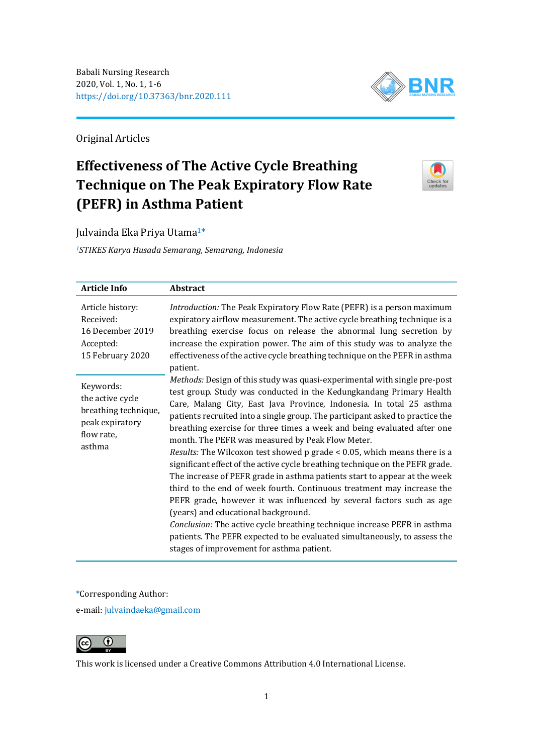

Original Articles

# **Effectiveness of The Active Cycle Breathing Technique on The Peak Expiratory Flow Rate (PEFR) in Asthma Patient**



Julvainda Eka Priya Utama1\*

*<sup>1</sup>STIKES Karya Husada Semarang, Semarang, Indonesia*

| <b>Article Info</b>                                                                              | Abstract                                                                                                                                                                                                                                                                                                                                                                                                                                                                                                                                                                                                                                                                                                                                                                                                                                                                                                                                                                                                                                                                          |
|--------------------------------------------------------------------------------------------------|-----------------------------------------------------------------------------------------------------------------------------------------------------------------------------------------------------------------------------------------------------------------------------------------------------------------------------------------------------------------------------------------------------------------------------------------------------------------------------------------------------------------------------------------------------------------------------------------------------------------------------------------------------------------------------------------------------------------------------------------------------------------------------------------------------------------------------------------------------------------------------------------------------------------------------------------------------------------------------------------------------------------------------------------------------------------------------------|
| Article history:<br>Received:<br>16 December 2019<br>Accepted:<br>15 February 2020               | <i>Introduction:</i> The Peak Expiratory Flow Rate (PEFR) is a person maximum<br>expiratory airflow measurement. The active cycle breathing technique is a<br>breathing exercise focus on release the abnormal lung secretion by<br>increase the expiration power. The aim of this study was to analyze the<br>effectiveness of the active cycle breathing technique on the PEFR in asthma<br>patient.                                                                                                                                                                                                                                                                                                                                                                                                                                                                                                                                                                                                                                                                            |
| Keywords:<br>the active cycle<br>breathing technique,<br>peak expiratory<br>flow rate,<br>asthma | Methods: Design of this study was quasi-experimental with single pre-post<br>test group. Study was conducted in the Kedungkandang Primary Health<br>Care, Malang City, East Java Province, Indonesia. In total 25 asthma<br>patients recruited into a single group. The participant asked to practice the<br>breathing exercise for three times a week and being evaluated after one<br>month. The PEFR was measured by Peak Flow Meter.<br>Results: The Wilcoxon test showed p grade < 0.05, which means there is a<br>significant effect of the active cycle breathing technique on the PEFR grade.<br>The increase of PEFR grade in asthma patients start to appear at the week<br>third to the end of week fourth. Continuous treatment may increase the<br>PEFR grade, however it was influenced by several factors such as age<br>(years) and educational background.<br>Conclusion: The active cycle breathing technique increase PEFR in asthma<br>patients. The PEFR expected to be evaluated simultaneously, to assess the<br>stages of improvement for asthma patient. |

# \*Corresponding Author:

e-mail: [julvaindaeka@gmail.com](mailto:julvaindaeka@gmail.com)



This work is licensed under a [Creative Commons Attribution 4.0 International License.](https://creativecommons.org/licenses/by/4.0/)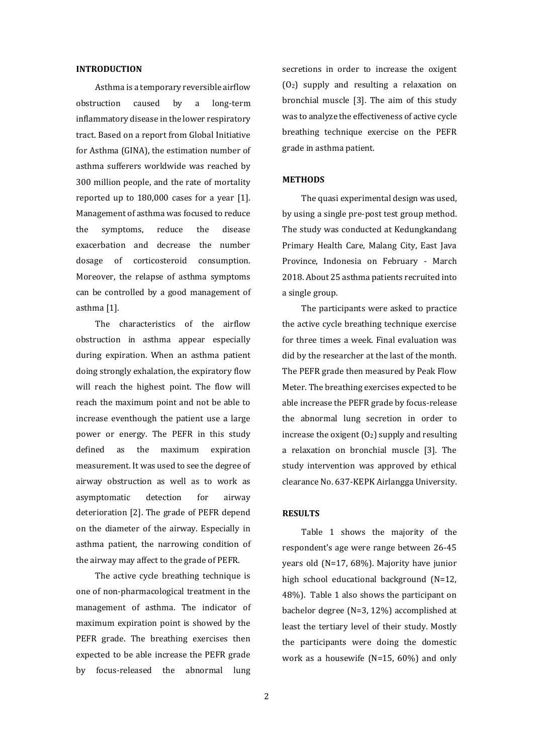#### **INTRODUCTION**

Asthma is a temporary reversible airflow obstruction caused by a long-term inflammatory disease in the lower respiratory tract. Based on a report from Global Initiative for Asthma (GINA), the estimation number of asthma sufferers worldwide was reached by 300 million people, and the rate of mortality reported up to 180,000 cases for a year [1]. Management of asthma was focused to reduce the symptoms, reduce the disease exacerbation and decrease the number dosage of corticosteroid consumption. Moreover, the relapse of asthma symptoms can be controlled by a good management of asthma [1].

The characteristics of the airflow obstruction in asthma appear especially during expiration. When an asthma patient doing strongly exhalation, the expiratory flow will reach the highest point. The flow will reach the maximum point and not be able to increase eventhough the patient use a large power or energy. The PEFR in this study defined as the maximum expiration measurement. It was used to see the degree of airway obstruction as well as to work as asymptomatic detection for airway deterioration [2]. The grade of PEFR depend on the diameter of the airway. Especially in asthma patient, the narrowing condition of the airway may affect to the grade of PEFR.

The active cycle breathing technique is one of non-pharmacological treatment in the management of asthma. The indicator of maximum expiration point is showed by the PEFR grade. The breathing exercises then expected to be able increase the PEFR grade by focus-released the abnormal lung

secretions in order to increase the oxigent (O2) supply and resulting a relaxation on bronchial muscle [3]. The aim of this study was to analyze the effectiveness of active cycle breathing technique exercise on the PEFR grade in asthma patient.

## **METHODS**

The quasi experimental design was used, by using a single pre-post test group method. The study was conducted at Kedungkandang Primary Health Care, Malang City, East Java Province, Indonesia on February - March 2018. About 25 asthma patients recruited into a single group.

The participants were asked to practice the active cycle breathing technique exercise for three times a week. Final evaluation was did by the researcher at the last of the month. The PEFR grade then measured by Peak Flow Meter. The breathing exercises expected to be able increase the PEFR grade by focus-release the abnormal lung secretion in order to increase the oxigent  $(0_2)$  supply and resulting a relaxation on bronchial muscle [3]. The study intervention was approved by ethical clearance No. 637-KEPK Airlangga University.

## **RESULTS**

Table 1 shows the majority of the respondent's age were range between 26-45 years old (N=17, 68%). Majority have junior high school educational background (N=12, 48%). Table 1 also shows the participant on bachelor degree (N=3, 12%) accomplished at least the tertiary level of their study. Mostly the participants were doing the domestic work as a housewife (N=15, 60%) and only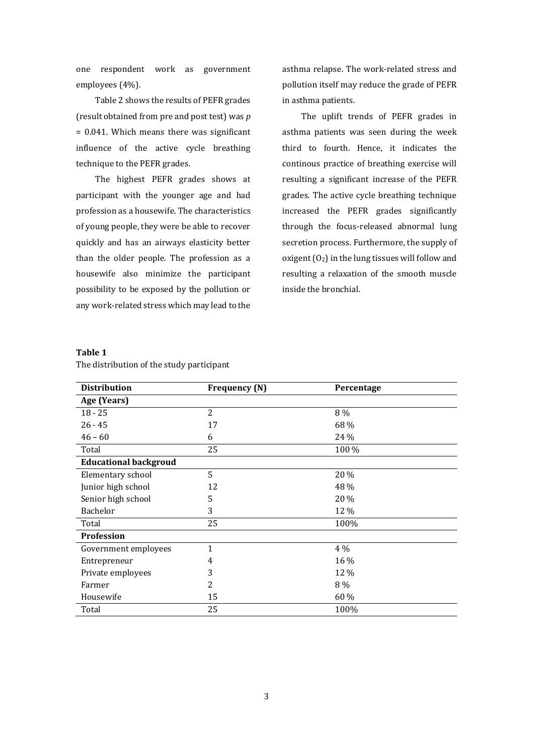one respondent work as government employees (4%).

Table 2 shows the results of PEFR grades (result obtained from pre and post test) was *p* = 0.041. Which means there was significant influence of the active cycle breathing technique to the PEFR grades.

The highest PEFR grades shows at participant with the younger age and had profession as a housewife. The characteristics of young people, they were be able to recover quickly and has an airways elasticity better than the older people. The profession as a housewife also minimize the participant possibility to be exposed by the pollution or any work-related stress which may lead to the asthma relapse. The work-related stress and pollution itself may reduce the grade of PEFR in asthma patients.

The uplift trends of PEFR grades in asthma patients was seen during the week third to fourth. Hence, it indicates the continous practice of breathing exercise will resulting a significant increase of the PEFR grades. The active cycle breathing technique increased the PEFR grades significantly through the focus-released abnormal lung secretion process. Furthermore, the supply of oxigent  $(0_2)$  in the lung tissues will follow and resulting a relaxation of the smooth muscle inside the bronchial.

## **Table 1**

The distribution of the study participant

| <b>Distribution</b>          | <b>Frequency (N)</b> | Percentage |  |  |  |
|------------------------------|----------------------|------------|--|--|--|
| Age (Years)                  |                      |            |  |  |  |
| $18 - 25$                    | $\overline{2}$       | 8 %        |  |  |  |
| $26 - 45$                    | 17                   | 68 %       |  |  |  |
| $46 - 60$                    | 6                    | 24 %       |  |  |  |
| Total                        | 25                   | 100 %      |  |  |  |
| <b>Educational backgroud</b> |                      |            |  |  |  |
| Elementary school            | 5                    | 20 %       |  |  |  |
| Junior high school           | 12                   | 48 %       |  |  |  |
| Senior high school           | 5                    | 20 %       |  |  |  |
| Bachelor                     | 3                    | 12 %       |  |  |  |
| Total                        | 25                   | 100%       |  |  |  |
| Profession                   |                      |            |  |  |  |
| Government employees         | 1                    | 4 %        |  |  |  |
| Entrepreneur                 | 4                    | 16 %       |  |  |  |
| Private employees            | 3                    | 12 %       |  |  |  |
| Farmer                       | 2                    | 8 %        |  |  |  |
| Housewife                    | 15                   | 60 %       |  |  |  |
| Total                        | 25                   | 100%       |  |  |  |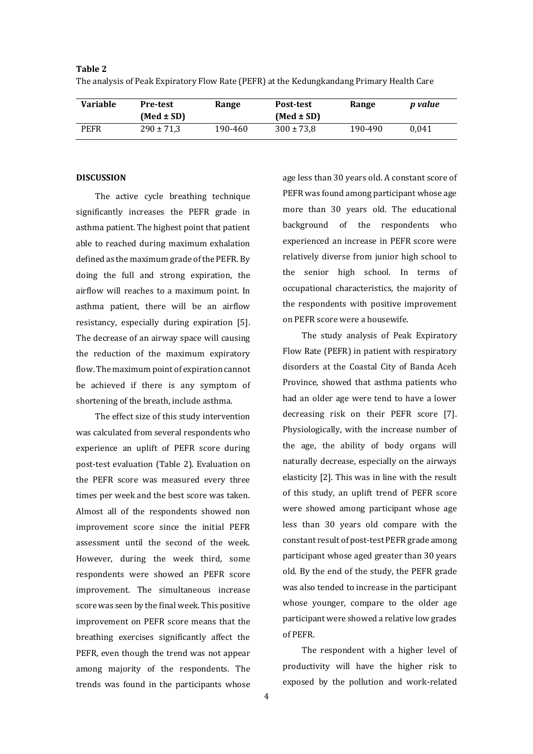| Variable | <b>Pre-test</b><br>$(Med \pm SD)$ | Range   | Post-test<br>$(Med \pm SD)$ | Range   | p value |
|----------|-----------------------------------|---------|-----------------------------|---------|---------|
| PEFR     | $290 \pm 71.3$                    | 190-460 | $300 \pm 73.8$              | 190-490 | 0.041   |

The analysis of Peak Expiratory Flow Rate (PEFR) at the Kedungkandang Primary Health Care

# **DISCUSSION**

**Table 2**

The active cycle breathing technique significantly increases the PEFR grade in asthma patient. The highest point that patient able to reached during maximum exhalation defined as the maximum grade of the PEFR. By doing the full and strong expiration, the airflow will reaches to a maximum point. In asthma patient, there will be an airflow resistancy, especially during expiration [5]. The decrease of an airway space will causing the reduction of the maximum expiratory flow. The maximum point of expiration cannot be achieved if there is any symptom of shortening of the breath, include asthma.

The effect size of this study intervention was calculated from several respondents who experience an uplift of PEFR score during post-test evaluation (Table 2). Evaluation on the PEFR score was measured every three times per week and the best score was taken. Almost all of the respondents showed non improvement score since the initial PEFR assessment until the second of the week. However, during the week third, some respondents were showed an PEFR score improvement. The simultaneous increase score was seen by the final week. This positive improvement on PEFR score means that the breathing exercises significantly affect the PEFR, even though the trend was not appear among majority of the respondents. The trends was found in the participants whose age less than 30 years old. A constant score of PEFR was found among participant whose age more than 30 years old. The educational background of the respondents who experienced an increase in PEFR score were relatively diverse from junior high school to the senior high school. In terms of occupational characteristics, the majority of the respondents with positive improvement on PEFR score were a housewife.

The study analysis of Peak Expiratory Flow Rate (PEFR) in patient with respiratory disorders at the Coastal City of Banda Aceh Province, showed that asthma patients who had an older age were tend to have a lower decreasing risk on their PEFR score [7]. Physiologically, with the increase number of the age, the ability of body organs will naturally decrease, especially on the airways elasticity [2]. This was in line with the result of this study, an uplift trend of PEFR score were showed among participant whose age less than 30 years old compare with the constant result of post-test PEFR grade among participant whose aged greater than 30 years old. By the end of the study, the PEFR grade was also tended to increase in the participant whose younger, compare to the older age participant were showed a relative low grades of PEFR.

The respondent with a higher level of productivity will have the higher risk to exposed by the pollution and work-related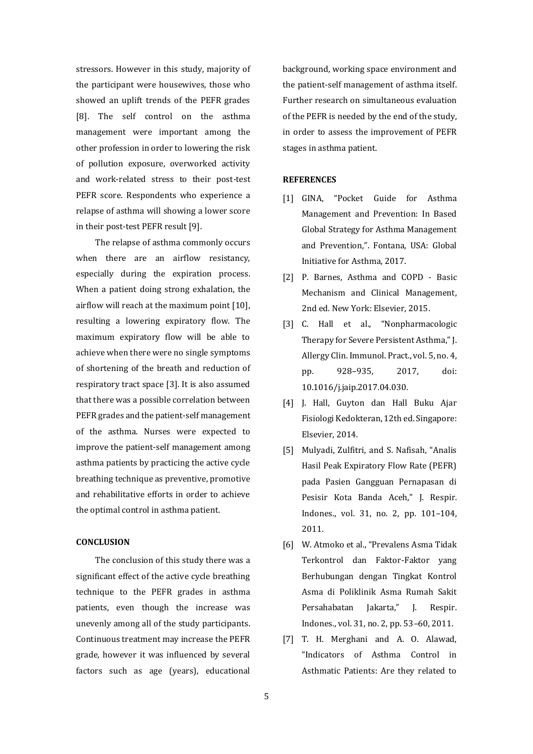stressors. However in this study, majority of the participant were housewives, those who showed an uplift trends of the PEFR grades [8]. The self control on the asthma management were important among the other profession in order to lowering the risk of pollution exposure, overworked activity and work-related stress to their post-test PEFR score. Respondents who experience a relapse of asthma will showing a lower score in their post-test PEFR result [9].

The relapse of asthma commonly occurs when there are an airflow resistancy, especially during the expiration process. When a patient doing strong exhalation, the airflow will reach at the maximum point [10], resulting a lowering expiratory flow. The maximum expiratory flow will be able to achieve when there were no single symptoms of shortening of the breath and reduction of respiratory tract space [3]. It is also assumed that there was a possible correlation between PEFR grades and the patient-self management of the asthma. Nurses were expected to improve the patient-self management among asthma patients by practicing the active cycle breathing technique as preventive, promotive and rehabilitative efforts in order to achieve the optimal control in asthma patient.

#### **CONCLUSION**

The conclusion of this study there was a significant effect of the active cycle breathing technique to the PEFR grades in asthma patients, even though the increase was unevenly among all of the study participants. Continuous treatment may increase the PEFR grade, however it was influenced by several factors such as age (years), educational background, working space environment and the patient-self management of asthma itself. Further research on simultaneous evaluation of the PEFR is needed by the end of the study, in order to assess the improvement of PEFR stages in asthma patient.

#### **REFERENCES**

- [1] GINA, "Pocket Guide for Asthma Management and Prevention: In Based Global Strategy for Asthma Management and Prevention,". Fontana, USA: Global Initiative for Asthma, 2017.
- [2] P. Barnes, Asthma and COPD Basic Mechanism and Clinical Management, 2nd ed. New York: Elsevier, 2015.
- [3] C. Hall et al., "Nonpharmacologic Therapy for Severe Persistent Asthma," J. Allergy Clin. Immunol. Pract., vol. 5, no. 4, pp. 928–935, 2017, doi: 10.1016/j.jaip.2017.04.030.
- [4] J. Hall, Guyton dan Hall Buku Ajar Fisiologi Kedokteran, 12th ed. Singapore: Elsevier, 2014.
- [5] Mulyadi, Zulfitri, and S. Nafisah, "Analis Hasil Peak Expiratory Flow Rate (PEFR) pada Pasien Gangguan Pernapasan di Pesisir Kota Banda Aceh," J. Respir. Indones., vol. 31, no. 2, pp. 101–104, 2011.
- [6] W. Atmoko et al., "Prevalens Asma Tidak Terkontrol dan Faktor-Faktor yang Berhubungan dengan Tingkat Kontrol Asma di Poliklinik Asma Rumah Sakit Persahabatan Jakarta," J. Respir. Indones., vol. 31, no. 2, pp. 53–60, 2011.
- [7] T. H. Merghani and A. O. Alawad, "Indicators of Asthma Control in Asthmatic Patients: Are they related to